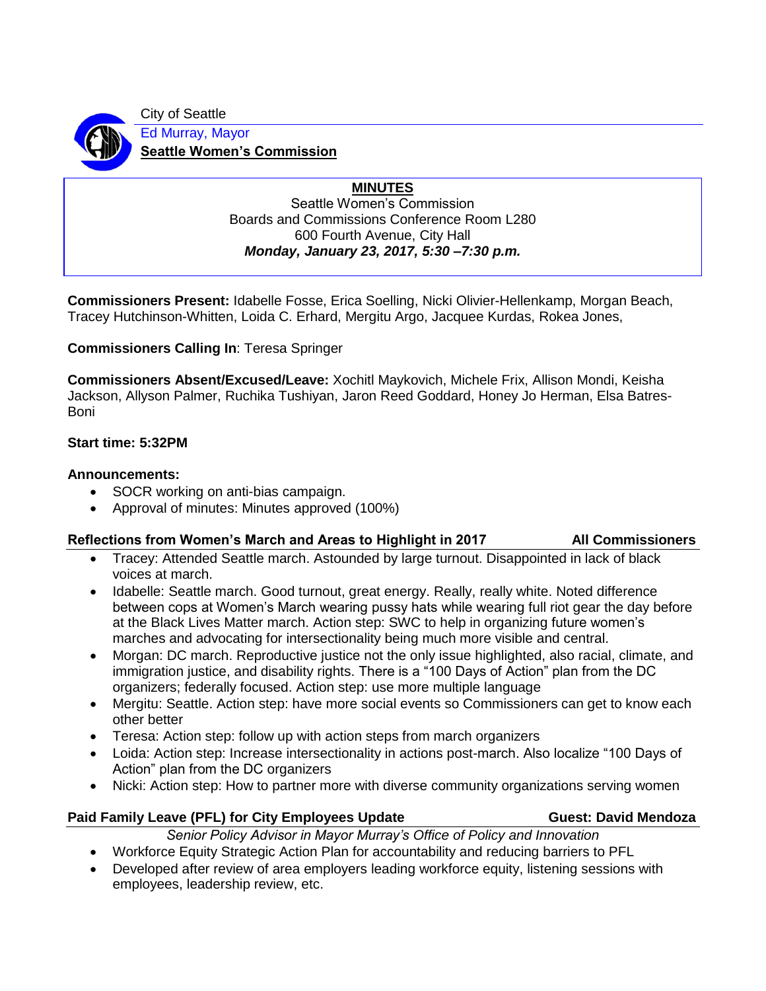City of Seattle Ed Murray, Mayor

**Seattle Women's Commission**

# **MINUTES**

Seattle Women's Commission Boards and Commissions Conference Room L280 600 Fourth Avenue, City Hall *Monday, January 23, 2017, 5:30 –7:30 p.m.*

**Commissioners Present:** Idabelle Fosse, Erica Soelling, Nicki Olivier-Hellenkamp, Morgan Beach, Tracey Hutchinson-Whitten, Loida C. Erhard, Mergitu Argo, Jacquee Kurdas, Rokea Jones,

**Commissioners Calling In**: Teresa Springer

**Commissioners Absent/Excused/Leave:** Xochitl Maykovich, Michele Frix, Allison Mondi, Keisha Jackson, Allyson Palmer, Ruchika Tushiyan, Jaron Reed Goddard, Honey Jo Herman, Elsa Batres-Boni

## **Start time: 5:32PM**

### **Announcements:**

- SOCR working on anti-bias campaign.
- Approval of minutes: Minutes approved (100%)

# Reflections from Women's March and Areas to Highlight in 2017 **All Commissioners**

• Tracey: Attended Seattle march. Astounded by large turnout. Disappointed in lack of black voices at march.

- Idabelle: Seattle march. Good turnout, great energy. Really, really white. Noted difference between cops at Women's March wearing pussy hats while wearing full riot gear the day before at the Black Lives Matter march. Action step: SWC to help in organizing future women's marches and advocating for intersectionality being much more visible and central.
- Morgan: DC march. Reproductive justice not the only issue highlighted, also racial, climate, and immigration justice, and disability rights. There is a "100 Days of Action" plan from the DC organizers; federally focused. Action step: use more multiple language
- Mergitu: Seattle. Action step: have more social events so Commissioners can get to know each other better
- Teresa: Action step: follow up with action steps from march organizers
- Loida: Action step: Increase intersectionality in actions post-march. Also localize "100 Days of Action" plan from the DC organizers
- Nicki: Action step: How to partner more with diverse community organizations serving women

# Paid Family Leave (PFL) for City Employees Update **Guest: David Mendoza**

*Senior Policy Advisor in Mayor Murray's Office of Policy and Innovation*

- Workforce Equity Strategic Action Plan for accountability and reducing barriers to PFL
- Developed after review of area employers leading workforce equity, listening sessions with employees, leadership review, etc.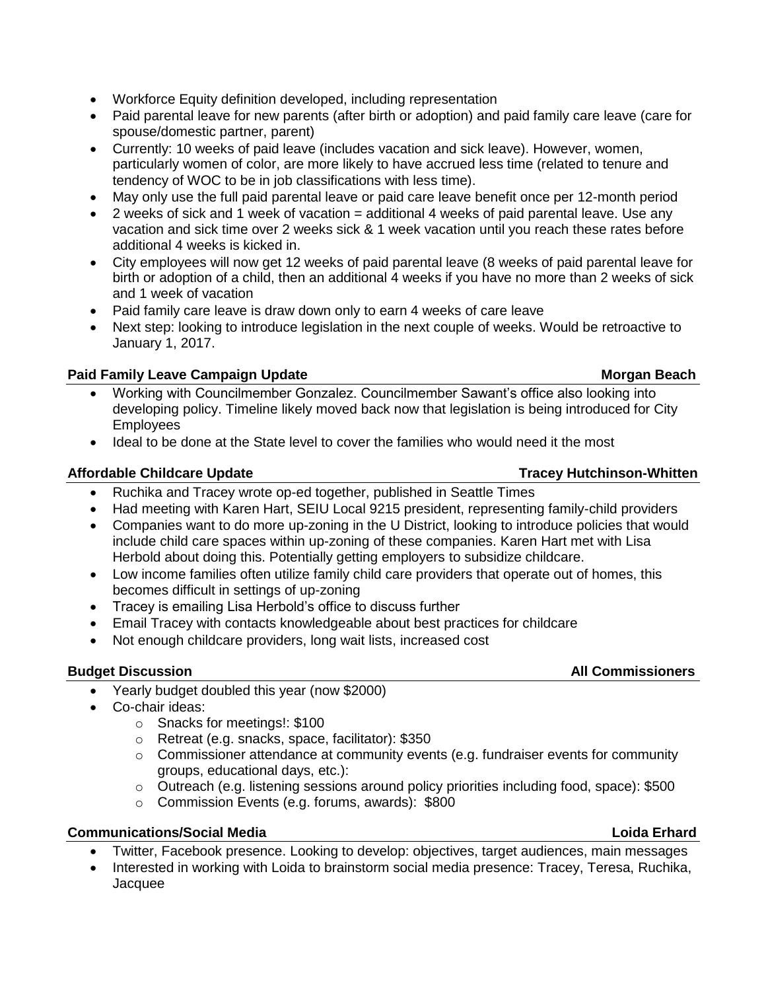- Workforce Equity definition developed, including representation
- Paid parental leave for new parents (after birth or adoption) and paid family care leave (care for spouse/domestic partner, parent)
- Currently: 10 weeks of paid leave (includes vacation and sick leave). However, women, particularly women of color, are more likely to have accrued less time (related to tenure and tendency of WOC to be in job classifications with less time).
- May only use the full paid parental leave or paid care leave benefit once per 12-month period
- 2 weeks of sick and 1 week of vacation = additional 4 weeks of paid parental leave. Use any vacation and sick time over 2 weeks sick & 1 week vacation until you reach these rates before additional 4 weeks is kicked in.
- City employees will now get 12 weeks of paid parental leave (8 weeks of paid parental leave for birth or adoption of a child, then an additional 4 weeks if you have no more than 2 weeks of sick and 1 week of vacation
- Paid family care leave is draw down only to earn 4 weeks of care leave
- Next step: looking to introduce legislation in the next couple of weeks. Would be retroactive to January 1, 2017.

## **Paid Family Leave Campaign Update Morgan Beach Morgan Beach**

- Working with Councilmember Gonzalez. Councilmember Sawant's office also looking into developing policy. Timeline likely moved back now that legislation is being introduced for City **Employees**
- Ideal to be done at the State level to cover the families who would need it the most

#### Affordable Childcare Update **Tracey Hutchinson-Whitten**

- Ruchika and Tracey wrote op-ed together, published in Seattle Times
- Had meeting with Karen Hart, SEIU Local 9215 president, representing family-child providers
- Companies want to do more up-zoning in the U District, looking to introduce policies that would include child care spaces within up-zoning of these companies. Karen Hart met with Lisa Herbold about doing this. Potentially getting employers to subsidize childcare.
- Low income families often utilize family child care providers that operate out of homes, this becomes difficult in settings of up-zoning
- Tracey is emailing Lisa Herbold's office to discuss further
- Email Tracey with contacts knowledgeable about best practices for childcare
- Not enough childcare providers, long wait lists, increased cost

### **Budget Discussion All Commissioners**

- Yearly budget doubled this year (now \$2000)
- Co-chair ideas:
	- o Snacks for meetings!: \$100
	- o Retreat (e.g. snacks, space, facilitator): \$350
	- $\circ$  Commissioner attendance at community events (e.g. fundraiser events for community groups, educational days, etc.):
	- o Outreach (e.g. listening sessions around policy priorities including food, space): \$500
	- o Commission Events (e.g. forums, awards): \$800

### **Communications/Social Media Loida Erhard**

- Twitter, Facebook presence. Looking to develop: objectives, target audiences, main messages
- Interested in working with Loida to brainstorm social media presence: Tracey, Teresa, Ruchika, Jacquee